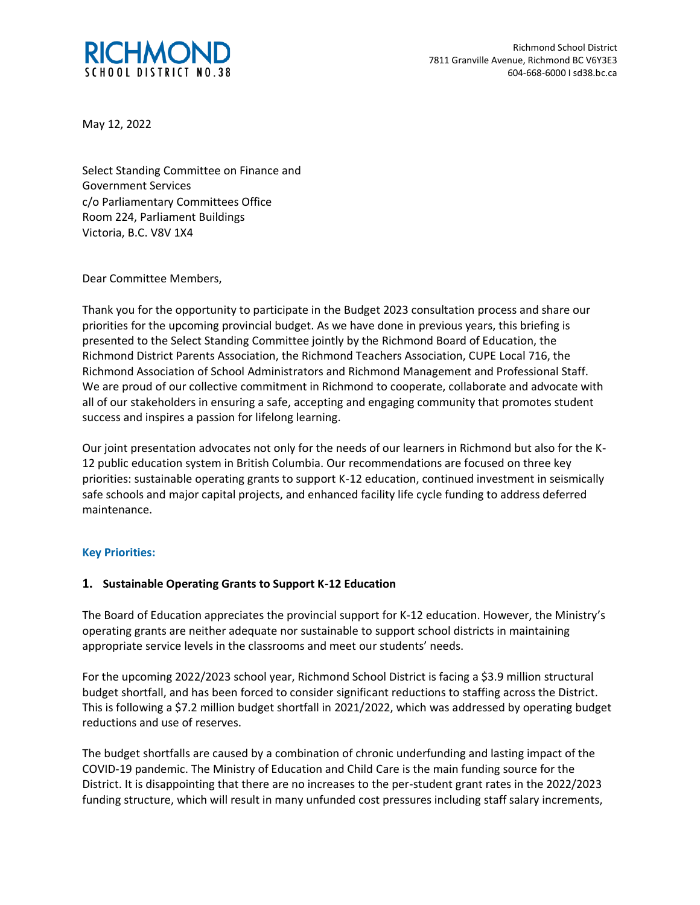

May 12, 2022

Select Standing Committee on Finance and Government Services c/o Parliamentary Committees Office Room 224, Parliament Buildings Victoria, B.C. V8V 1X4

Dear Committee Members,

Thank you for the opportunity to participate in the Budget 2023 consultation process and share our priorities for the upcoming provincial budget. As we have done in previous years, this briefing is presented to the Select Standing Committee jointly by the Richmond Board of Education, the Richmond District Parents Association, the Richmond Teachers Association, CUPE Local 716, the Richmond Association of School Administrators and Richmond Management and Professional Staff. We are proud of our collective commitment in Richmond to cooperate, collaborate and advocate with all of our stakeholders in ensuring a safe, accepting and engaging community that promotes student success and inspires a passion for lifelong learning.

Our joint presentation advocates not only for the needs of our learners in Richmond but also for the K-12 public education system in British Columbia. Our recommendations are focused on three key priorities: sustainable operating grants to support K-12 education, continued investment in seismically safe schools and major capital projects, and enhanced facility life cycle funding to address deferred maintenance.

## **Key Priorities:**

## **1. Sustainable Operating Grants to Support K-12 Education**

The Board of Education appreciates the provincial support for K-12 education. However, the Ministry's operating grants are neither adequate nor sustainable to support school districts in maintaining appropriate service levels in the classrooms and meet our students' needs.

For the upcoming 2022/2023 school year, Richmond School District is facing a \$3.9 million structural budget shortfall, and has been forced to consider significant reductions to staffing across the District. This is following a \$7.2 million budget shortfall in 2021/2022, which was addressed by operating budget reductions and use of reserves.

The budget shortfalls are caused by a combination of chronic underfunding and lasting impact of the COVID-19 pandemic. The Ministry of Education and Child Care is the main funding source for the District. It is disappointing that there are no increases to the per-student grant rates in the 2022/2023 funding structure, which will result in many unfunded cost pressures including staff salary increments,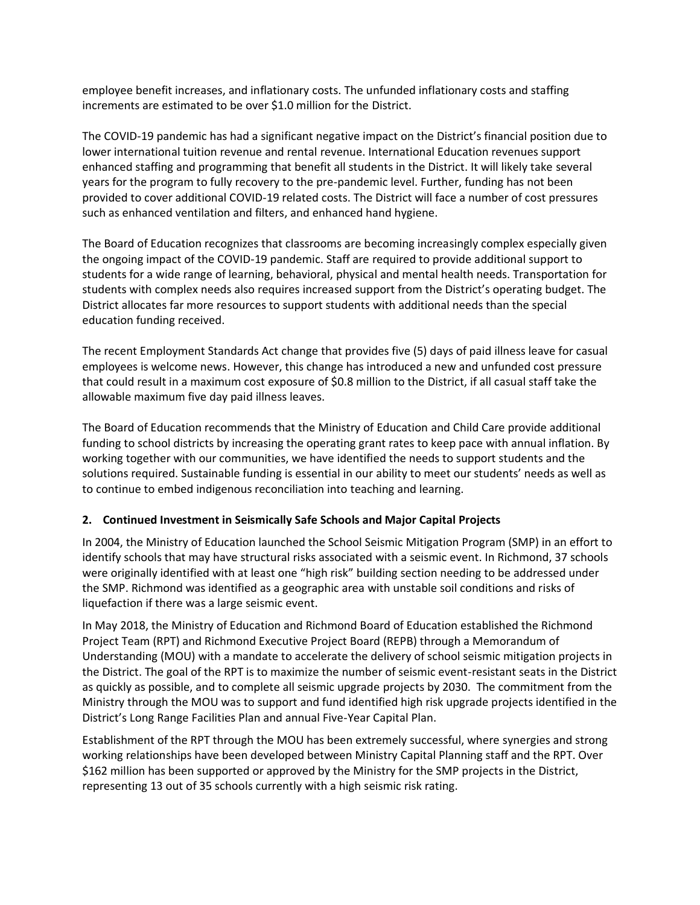employee benefit increases, and inflationary costs. The unfunded inflationary costs and staffing increments are estimated to be over \$1.0 million for the District.

The COVID-19 pandemic has had a significant negative impact on the District's financial position due to lower international tuition revenue and rental revenue. International Education revenues support enhanced staffing and programming that benefit all students in the District. It will likely take several years for the program to fully recovery to the pre-pandemic level. Further, funding has not been provided to cover additional COVID-19 related costs. The District will face a number of cost pressures such as enhanced ventilation and filters, and enhanced hand hygiene.

The Board of Education recognizes that classrooms are becoming increasingly complex especially given the ongoing impact of the COVID-19 pandemic. Staff are required to provide additional support to students for a wide range of learning, behavioral, physical and mental health needs. Transportation for students with complex needs also requires increased support from the District's operating budget. The District allocates far more resources to support students with additional needs than the special education funding received.

The recent Employment Standards Act change that provides five (5) days of paid illness leave for casual employees is welcome news. However, this change has introduced a new and unfunded cost pressure that could result in a maximum cost exposure of \$0.8 million to the District, if all casual staff take the allowable maximum five day paid illness leaves.

The Board of Education recommends that the Ministry of Education and Child Care provide additional funding to school districts by increasing the operating grant rates to keep pace with annual inflation. By working together with our communities, we have identified the needs to support students and the solutions required. Sustainable funding is essential in our ability to meet our students' needs as well as to continue to embed indigenous reconciliation into teaching and learning.

## **2. Continued Investment in Seismically Safe Schools and Major Capital Projects**

In 2004, the Ministry of Education launched the School Seismic Mitigation Program (SMP) in an effort to identify schools that may have structural risks associated with a seismic event. In Richmond, 37 schools were originally identified with at least one "high risk" building section needing to be addressed under the SMP. Richmond was identified as a geographic area with unstable soil conditions and risks of liquefaction if there was a large seismic event.

In May 2018, the Ministry of Education and Richmond Board of Education established the Richmond Project Team (RPT) and Richmond Executive Project Board (REPB) through a Memorandum of Understanding (MOU) with a mandate to accelerate the delivery of school seismic mitigation projects in the District. The goal of the RPT is to maximize the number of seismic event-resistant seats in the District as quickly as possible, and to complete all seismic upgrade projects by 2030. The commitment from the Ministry through the MOU was to support and fund identified high risk upgrade projects identified in the District's Long Range Facilities Plan and annual Five-Year Capital Plan.

Establishment of the RPT through the MOU has been extremely successful, where synergies and strong working relationships have been developed between Ministry Capital Planning staff and the RPT. Over \$162 million has been supported or approved by the Ministry for the SMP projects in the District, representing 13 out of 35 schools currently with a high seismic risk rating.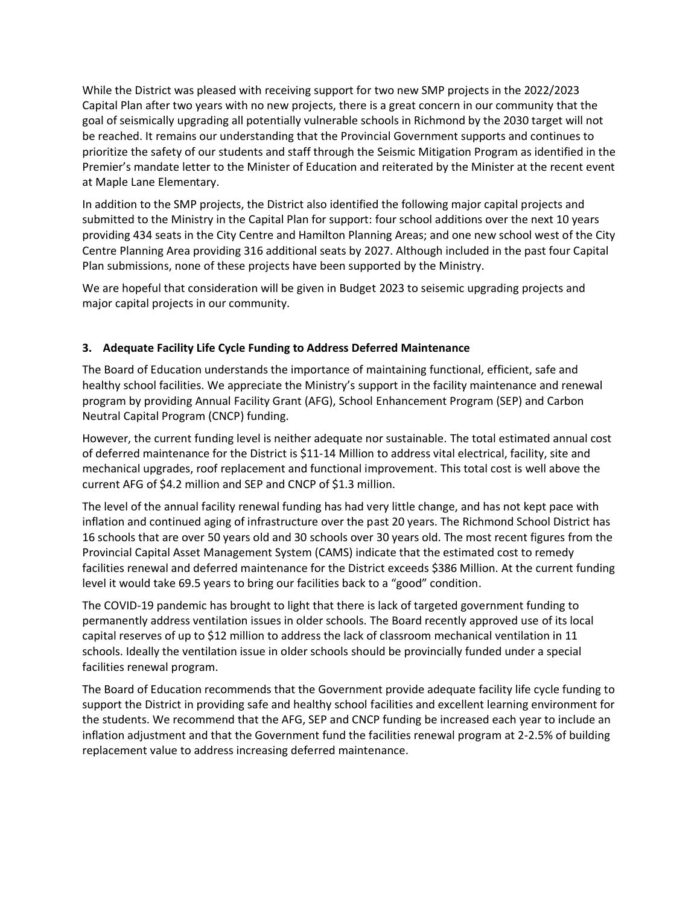While the District was pleased with receiving support for two new SMP projects in the 2022/2023 Capital Plan after two years with no new projects, there is a great concern in our community that the goal of seismically upgrading all potentially vulnerable schools in Richmond by the 2030 target will not be reached. It remains our understanding that the Provincial Government supports and continues to prioritize the safety of our students and staff through the Seismic Mitigation Program as identified in the Premier's mandate letter to the Minister of Education and reiterated by the Minister at the recent event at Maple Lane Elementary.

In addition to the SMP projects, the District also identified the following major capital projects and submitted to the Ministry in the Capital Plan for support: four school additions over the next 10 years providing 434 seats in the City Centre and Hamilton Planning Areas; and one new school west of the City Centre Planning Area providing 316 additional seats by 2027. Although included in the past four Capital Plan submissions, none of these projects have been supported by the Ministry.

We are hopeful that consideration will be given in Budget 2023 to seisemic upgrading projects and major capital projects in our community.

# **3. Adequate Facility Life Cycle Funding to Address Deferred Maintenance**

The Board of Education understands the importance of maintaining functional, efficient, safe and healthy school facilities. We appreciate the Ministry's support in the facility maintenance and renewal program by providing Annual Facility Grant (AFG), School Enhancement Program (SEP) and Carbon Neutral Capital Program (CNCP) funding.

However, the current funding level is neither adequate nor sustainable. The total estimated annual cost of deferred maintenance for the District is \$11-14 Million to address vital electrical, facility, site and mechanical upgrades, roof replacement and functional improvement. This total cost is well above the current AFG of \$4.2 million and SEP and CNCP of \$1.3 million.

The level of the annual facility renewal funding has had very little change, and has not kept pace with inflation and continued aging of infrastructure over the past 20 years. The Richmond School District has 16 schools that are over 50 years old and 30 schools over 30 years old. The most recent figures from the Provincial Capital Asset Management System (CAMS) indicate that the estimated cost to remedy facilities renewal and deferred maintenance for the District exceeds \$386 Million. At the current funding level it would take 69.5 years to bring our facilities back to a "good" condition.

The COVID-19 pandemic has brought to light that there is lack of targeted government funding to permanently address ventilation issues in older schools. The Board recently approved use of its local capital reserves of up to \$12 million to address the lack of classroom mechanical ventilation in 11 schools. Ideally the ventilation issue in older schools should be provincially funded under a special facilities renewal program.

The Board of Education recommends that the Government provide adequate facility life cycle funding to support the District in providing safe and healthy school facilities and excellent learning environment for the students. We recommend that the AFG, SEP and CNCP funding be increased each year to include an inflation adjustment and that the Government fund the facilities renewal program at 2-2.5% of building replacement value to address increasing deferred maintenance.